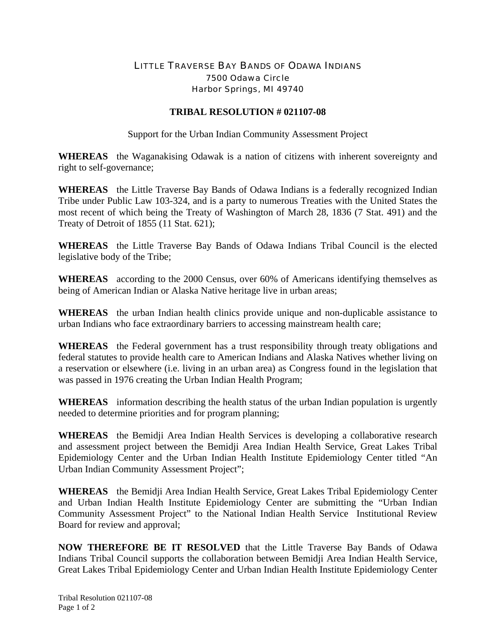## LITTLE TRAVERSE BAY BANDS OF ODAWA INDIANS 7500 Odawa Circle Harbor Springs, MI 49740

## **TRIBAL RESOLUTION # 021107-08**

Support for the Urban Indian Community Assessment Project

**WHEREAS** the Waganakising Odawak is a nation of citizens with inherent sovereignty and right to self-governance;

**WHEREAS** the Little Traverse Bay Bands of Odawa Indians is a federally recognized Indian Tribe under Public Law 103-324, and is a party to numerous Treaties with the United States the most recent of which being the Treaty of Washington of March 28, 1836 (7 Stat. 491) and the Treaty of Detroit of 1855 (11 Stat. 621);

**WHEREAS** the Little Traverse Bay Bands of Odawa Indians Tribal Council is the elected legislative body of the Tribe;

**WHEREAS** according to the 2000 Census, over 60% of Americans identifying themselves as being of American Indian or Alaska Native heritage live in urban areas;

**WHEREAS** the urban Indian health clinics provide unique and non-duplicable assistance to urban Indians who face extraordinary barriers to accessing mainstream health care;

**WHEREAS** the Federal government has a trust responsibility through treaty obligations and federal statutes to provide health care to American Indians and Alaska Natives whether living on a reservation or elsewhere (i.e. living in an urban area) as Congress found in the legislation that was passed in 1976 creating the Urban Indian Health Program;

**WHEREAS** information describing the health status of the urban Indian population is urgently needed to determine priorities and for program planning;

**WHEREAS** the Bemidji Area Indian Health Services is developing a collaborative research and assessment project between the Bemidji Area Indian Health Service, Great Lakes Tribal Epidemiology Center and the Urban Indian Health Institute Epidemiology Center titled "An Urban Indian Community Assessment Project";

**WHEREAS** the Bemidji Area Indian Health Service, Great Lakes Tribal Epidemiology Center and Urban Indian Health Institute Epidemiology Center are submitting the "Urban Indian Community Assessment Project" to the National Indian Health Service Institutional Review Board for review and approval;

**NOW THEREFORE BE IT RESOLVED** that the Little Traverse Bay Bands of Odawa Indians Tribal Council supports the collaboration between Bemidji Area Indian Health Service, Great Lakes Tribal Epidemiology Center and Urban Indian Health Institute Epidemiology Center